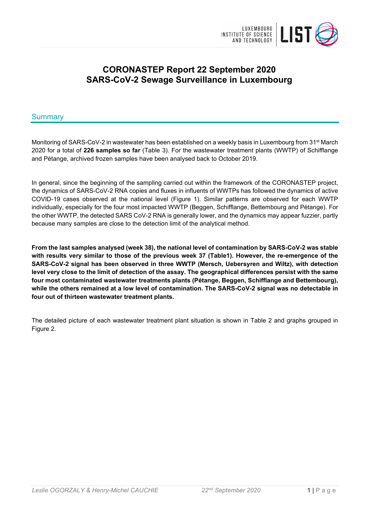

# **CORONASTEP Report 22 September 2020 SARS-CoV-2 Sewage Surveillance in Luxembourg**

## Summary

Monitoring of SARS-CoV-2 in wastewater has been established on a weekly basis in Luxembourg from 31<sup>st</sup> March 2020 for a total of **226 samples so far** (Table 3). For the wastewater treatment plants (WWTP) of Schifflange and Pétange, archived frozen samples have been analysed back to October 2019.

In general, since the beginning of the sampling carried out within the framework of the CORONASTEP project, the dynamics of SARS-CoV-2 RNA copies and fluxes in influents of WWTPs has followed the dynamics of active COVID-19 cases observed at the national level (Figure 1). Similar patterns are observed for each WWTP individually, especially for the four most impacted WWTP (Beggen, Schifflange, Bettembourg and Pétange). For the other WWTP, the detected SARS CoV-2 RNA is generally lower, and the dynamics may appear fuzzier, partly because many samples are close to the detection limit of the analytical method.

**From the last samples analysed (week 38), the national level of contamination by SARS-CoV-2 was stable with results very similar to those of the previous week 37 (Table1). However, the re-emergence of the SARS-CoV-2 signal has been observed in three WWTP (Mersch, Uebersyren and Wiltz), with detection level very close to the limit of detection of the assay. The geographical differences persist with the same four most contaminated wastewater treatments plants (Pétange, Beggen, Schifflange and Bettembourg), while the others remained at a low level of contamination. The SARS-CoV-2 signal was no detectable in four out of thirteen wastewater treatment plants.**

The detailed picture of each wastewater treatment plant situation is shown in Table 2 and graphs grouped in Figure 2.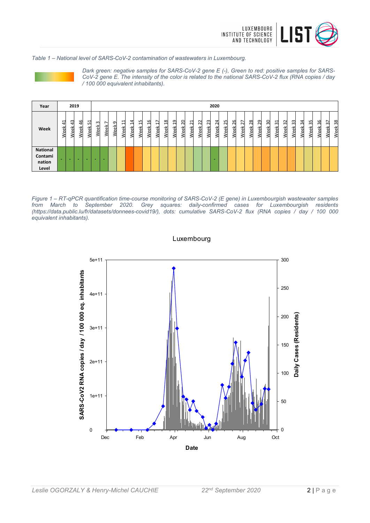

*Table 1 – National level of SARS-CoV-2 contamination of wastewaters in Luxembourg.*



*Dark green: negative samples for SARS-CoV-2 gene E (-), Green to red: positive samples for SARS-CoV-2 gene E. The intensity of the color is related to the national SARS-CoV-2 flux (RNA copies / day / 100 000 equivalent inhabitants).*

| Year                                          |              | 2019                       |             |              |           |           |           |           |           |           |                         |                                  |                                      |             |              |                       |                     |           | 2020           |            |            |            |            |            |            |             |                            |                  |                   |             |               |            |            |
|-----------------------------------------------|--------------|----------------------------|-------------|--------------|-----------|-----------|-----------|-----------|-----------|-----------|-------------------------|----------------------------------|--------------------------------------|-------------|--------------|-----------------------|---------------------|-----------|----------------|------------|------------|------------|------------|------------|------------|-------------|----------------------------|------------------|-------------------|-------------|---------------|------------|------------|
| Week                                          | ⊣<br>ᠴ<br>ಕಾ | $\sim$<br>↤<br>ă<br>ω<br>⋖ | 9<br>ă<br>ω | 51<br>ă<br>Š | m<br>Week | 7<br>Week | ᡡ<br>Week | 님<br>Week | 4<br>Week | ۳<br>Week | $\overline{16}$<br>Week | $\ddot{}$<br>$\mathbf -$<br>Week | $\infty$<br>$\blacksquare$<br>훇<br>Š | ᡡ<br>ᆸ<br>兴 | 20<br>읫<br>Φ | r<br>$\sim$<br>꼯<br>ω | $\sim$<br>Ñ<br>Week | ಇ<br>Week | 4<br>Ñ<br>Week | చి<br>Week | 26<br>Week | 27<br>Week | 28<br>Week | 29<br>Week | 30<br>Week | ಸ<br>읫<br>Š | $\sim$<br>$\sim$<br>꼯<br>3 | m<br>$\sim$<br>¥ | 4<br>ന്<br>꼯<br>o | ౘ<br>ă<br>Φ | 36<br>싃<br>Уe | 57<br>Week | 38<br>Week |
| <b>National</b><br>Contami<br>nation<br>Level | -            |                            | -           | -            |           |           |           |           |           |           |                         |                                  |                                      |             |              |                       |                     |           |                |            |            |            |            |            |            |             |                            |                  |                   |             |               |            |            |

*Figure 1 – RT-qPCR quantification time-course monitoring of SARS-CoV-2 (E gene) in Luxembourgish wastewater samples from March to September 2020. Grey squares: daily-confirmed cases for Luxembourgish residents (https://data.public.lu/fr/datasets/donnees-covid19/), dots: cumulative SARS-CoV-2 flux (RNA copies / day / 100 000 equivalent inhabitants).*



Luxembourg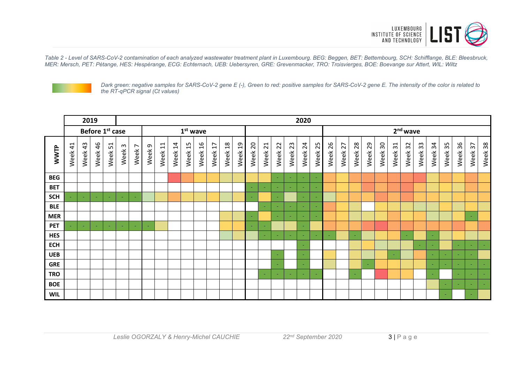

*Table 2 - Level of SARS-CoV-2 contamination of each analyzed wastewater treatment plant in Luxembourg. BEG: Beggen, BET: Bettembourg, SCH: Schifflange, BLE: Bleesbruck, MER: Mersch, PET: Pétange, HES: Hespèrange, ECG: Echternach, UEB: Uebersyren, GRE: Grevenmacker, TRO: Troisvierges, BOE: Boevange sur Attert, WIL: Wiltz*



*Dark green: negative samples for SARS-CoV-2 gene E (-), Green to red: positive samples for SARS-CoV-2 gene E. The intensity of the color is related to the RT-qPCR signal (Ct values)*

|            |                        | 2019       |            |                 |                                 |        | 2020                     |                                                              |                        |               |                        |         |            |                        |                          |                          |         |         |                          |         |            |            |                          |                          |         |                         |            |            |                          |         |         |                          |         |
|------------|------------------------|------------|------------|-----------------|---------------------------------|--------|--------------------------|--------------------------------------------------------------|------------------------|---------------|------------------------|---------|------------|------------------------|--------------------------|--------------------------|---------|---------|--------------------------|---------|------------|------------|--------------------------|--------------------------|---------|-------------------------|------------|------------|--------------------------|---------|---------|--------------------------|---------|
|            |                        |            |            | Before 1st case |                                 |        |                          |                                                              |                        |               | $1st$ wave             |         |            |                        |                          |                          |         |         |                          |         |            |            |                          |                          |         |                         | $2nd$ wave |            |                          |         |         |                          |         |
| WWTP       | $\overline{4}$<br>Week | 43<br>Week | 46<br>Week | 51<br>Week      | $\boldsymbol{\upomega}$<br>Week | Week 7 | G<br>Week                | $\overline{\phantom{0}}$<br>$\overline{\phantom{0}}$<br>Week | $\overline{1}$<br>Week | $\Xi$<br>Week | $\overline{a}$<br>Week | Week 17 | 18<br>Week | $\overline{c}$<br>Week | 20<br>Week               | 21<br>Week               | Week 22 | Week 23 | Week 24                  | Week 25 | 26<br>Week | 27<br>Week | 28<br>Week               | Week 29                  | Week 30 | $\overline{3}1$<br>Week | 32<br>Week | 33<br>Week | 34<br>Week               | Week 35 | Week 36 | Week 37                  | Week 38 |
| <b>BEG</b> |                        |            |            |                 |                                 |        |                          |                                                              |                        |               |                        |         |            |                        |                          |                          | $\sim$  |         | $\overline{\phantom{a}}$ | $\sim$  |            |            |                          |                          |         |                         |            |            |                          |         |         |                          |         |
| <b>BET</b> |                        |            |            |                 |                                 |        |                          |                                                              |                        |               |                        |         |            |                        |                          | $\overline{\phantom{a}}$ |         |         |                          | $\sim$  |            |            |                          |                          |         |                         |            |            |                          |         |         |                          |         |
| <b>SCH</b> |                        | $\sim$     |            |                 | $\overline{\phantom{a}}$        |        |                          |                                                              |                        |               |                        |         |            |                        |                          |                          |         |         | $\overline{\phantom{a}}$ | $\sim$  |            |            |                          |                          |         |                         |            |            |                          |         |         |                          |         |
| <b>BLE</b> |                        |            |            |                 |                                 |        |                          |                                                              |                        |               |                        |         |            |                        |                          | $\overline{\phantom{a}}$ | $\sim$  |         | ٠                        | $\sim$  |            |            |                          |                          |         |                         |            |            |                          |         |         |                          |         |
| <b>MER</b> |                        |            |            |                 |                                 |        |                          |                                                              |                        |               |                        |         |            |                        |                          |                          |         |         |                          | $\sim$  |            |            |                          |                          |         |                         |            |            |                          |         |         | $\overline{\phantom{a}}$ |         |
| <b>PET</b> |                        | $\sim$     |            |                 |                                 |        | $\overline{\phantom{a}}$ |                                                              |                        |               |                        |         |            |                        | $\overline{\phantom{a}}$ | $\overline{\phantom{a}}$ |         |         |                          |         |            |            |                          |                          |         |                         |            |            |                          |         |         |                          |         |
| <b>HES</b> |                        |            |            |                 |                                 |        |                          |                                                              |                        |               |                        |         |            |                        |                          | $\overline{\phantom{a}}$ |         |         | $\sim$                   | $\sim$  |            |            |                          |                          |         |                         | $\sim$     |            | $\overline{\phantom{a}}$ |         |         |                          |         |
| <b>ECH</b> |                        |            |            |                 |                                 |        |                          |                                                              |                        |               |                        |         |            |                        |                          |                          |         |         |                          |         |            |            |                          |                          |         |                         |            |            |                          |         |         | ÷                        | $\sim$  |
| <b>UEB</b> |                        |            |            |                 |                                 |        |                          |                                                              |                        |               |                        |         |            |                        |                          |                          |         |         |                          |         |            |            |                          |                          |         | $\sim$                  |            |            | $\sim$                   |         |         | $\overline{\phantom{a}}$ |         |
| <b>GRE</b> |                        |            |            |                 |                                 |        |                          |                                                              |                        |               |                        |         |            |                        |                          |                          |         |         |                          |         |            |            |                          | $\overline{\phantom{a}}$ |         |                         |            |            | $\overline{\phantom{a}}$ |         |         | ٠                        | $\sim$  |
| <b>TRO</b> |                        |            |            |                 |                                 |        |                          |                                                              |                        |               |                        |         |            |                        |                          | $\overline{\phantom{a}}$ | $\sim$  |         | ۰                        | $\sim$  |            |            | $\overline{\phantom{a}}$ |                          |         |                         |            |            | $\overline{\phantom{a}}$ |         |         | $\overline{\phantom{a}}$ | $\sim$  |
| <b>BOE</b> |                        |            |            |                 |                                 |        |                          |                                                              |                        |               |                        |         |            |                        |                          |                          |         |         |                          |         |            |            |                          |                          |         |                         |            |            |                          |         |         | $\overline{\phantom{a}}$ | $\sim$  |
| <b>WIL</b> |                        |            |            |                 |                                 |        |                          |                                                              |                        |               |                        |         |            |                        |                          |                          |         |         |                          |         |            |            |                          |                          |         |                         |            |            |                          |         |         | $\sim$                   |         |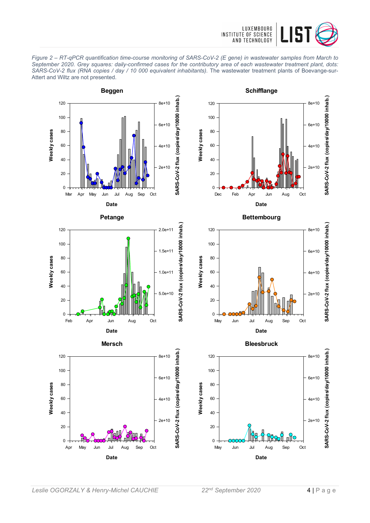

*Figure 2 – RT-qPCR quantification time-course monitoring of SARS-CoV-2 (E gene) in wastewater samples from March to September 2020. Grey squares: daily-confirmed cases for the contributory area of each wastewater treatment plant, dots: SARS-CoV-2 flux (RNA copies / day / 10 000 equivalent inhabitants).* The wastewater treatment plants of Boevange-sur-Attert and Wiltz are not presented.

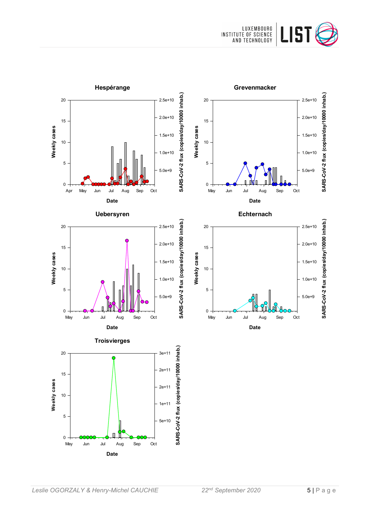

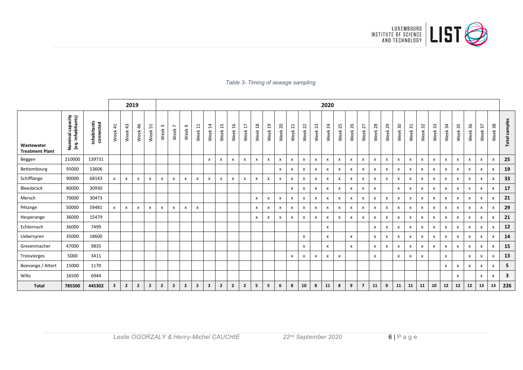

#### *Table 3- Timing of sewage sampling*

|                                      | 2019                                  |                          |                       |                           |                           |                |                  |                        |                |                |                        |                           |                |                                 |                 |                           |                           |                           |              |            | 2020                      |            |                           |                |            |                           |                           |                           |              |                           |            |                           |              |                           |                           |               |
|--------------------------------------|---------------------------------------|--------------------------|-----------------------|---------------------------|---------------------------|----------------|------------------|------------------------|----------------|----------------|------------------------|---------------------------|----------------|---------------------------------|-----------------|---------------------------|---------------------------|---------------------------|--------------|------------|---------------------------|------------|---------------------------|----------------|------------|---------------------------|---------------------------|---------------------------|--------------|---------------------------|------------|---------------------------|--------------|---------------------------|---------------------------|---------------|
| Wastewater<br><b>Treatment Plant</b> | Nominal capacity<br>(eq. inhabitants) | Inhabitants<br>connected | $\frac{1}{4}$<br>Week | 43<br>Week                | 46<br>Week                | 51<br>Week     | $\omega$<br>Week | $\overline{ }$<br>Week | G<br>Week      | $\Xi$<br>Week  | $\overline{1}$<br>Week | 15<br>Week                | 16<br>Week     | $\overline{\mathbf{r}}$<br>Week | $^{28}$<br>Week | $\overline{5}$<br>Week    | 20<br>Week                | $\overline{21}$<br>Week   | 22<br>Week   | 23<br>Week | 24<br>Week                | 25<br>Week | 26<br>Week                | 27<br>Week     | 28<br>Week | 29<br>Week                | $30\,$<br>Week            | $\overline{3}1$<br>Week   | 32<br>Week   | 33<br>Week                | 34<br>Week | 35<br>Week                | 36<br>Week   | $\frac{1}{2}$<br>Week     | 38<br>Week                | Total samples |
| Beggen                               | 210000                                | 139731                   |                       |                           |                           |                |                  |                        |                |                | X                      | X                         | X              | $\boldsymbol{\mathsf{x}}$       | x               | X                         | X                         | X                         | $\mathsf{x}$ | x          | X                         | x          | $\boldsymbol{\mathsf{x}}$ | x              | X          | $\boldsymbol{\mathsf{x}}$ | X                         | $\boldsymbol{\mathsf{x}}$ | $\mathsf{x}$ | $\boldsymbol{\mathsf{x}}$ | X          | $\boldsymbol{\mathsf{x}}$ | X            | X                         | $\mathsf{x}$              | 25            |
| Bettembourg                          | 95000                                 | 53606                    |                       |                           |                           |                |                  |                        |                |                |                        |                           |                |                                 |                 |                           | $\mathsf{x}$              | x                         | $\mathsf{x}$ | X          | $\mathbf{x}$              | x          | $\mathsf{x}$              | $\mathsf{x}$   | X          | $\boldsymbol{x}$          | $\boldsymbol{\mathsf{x}}$ | $\mathsf{x}$              | X            | $\mathsf{x}$              | X          | $\boldsymbol{\mathsf{x}}$ | x            | $\mathsf{x}$              | X                         | 19            |
| Schifflange                          | 90000                                 | 68143                    | $\mathsf{x}$          | $\boldsymbol{\mathsf{x}}$ | $\boldsymbol{\mathsf{x}}$ | $\mathsf{x}$   | X                | $\mathsf{x}$           | x              | X              | x                      | $\boldsymbol{\mathsf{x}}$ | X              | $\boldsymbol{\mathsf{x}}$       | x               | X                         | X                         | X                         | $\mathsf{x}$ | x          | $\boldsymbol{\mathsf{x}}$ | x          | X                         | x              | x          | $\boldsymbol{\mathsf{x}}$ | $\boldsymbol{\mathsf{x}}$ | $\boldsymbol{\mathsf{x}}$ | X            | $\mathsf{x}$              | X          | $\boldsymbol{\mathsf{x}}$ | x            | X                         | x                         | 33            |
| Bleesbrück                           | 80000                                 | 30930                    |                       |                           |                           |                |                  |                        |                |                |                        |                           |                |                                 |                 |                           |                           | $\boldsymbol{\mathsf{x}}$ | $\mathsf{x}$ | x          | X                         | x          | $\boldsymbol{\mathsf{x}}$ | x              | X          |                           | X                         | $\boldsymbol{\mathsf{x}}$ | x            | $\boldsymbol{\mathsf{x}}$ | x          | $\boldsymbol{\mathsf{x}}$ | x            | x                         | X                         | 17            |
| Mersch                               | 70000                                 | 30473                    |                       |                           |                           |                |                  |                        |                |                |                        |                           |                |                                 | $\mathsf{x}$    | $\boldsymbol{\mathsf{x}}$ | $\boldsymbol{\mathsf{x}}$ | $\boldsymbol{\mathsf{x}}$ | $\mathsf{x}$ | x          | X                         | x          | $\boldsymbol{\mathsf{x}}$ | x              | X          | x                         | $\boldsymbol{\mathsf{x}}$ | $\boldsymbol{\mathsf{x}}$ | x            | $\boldsymbol{\mathsf{x}}$ | X          | $\boldsymbol{\mathsf{x}}$ | x            | $\boldsymbol{\mathsf{x}}$ | X                         | 21            |
| Pétange                              | 50000                                 | 59481                    | X                     | X                         | $\boldsymbol{\mathsf{x}}$ | $\mathsf{x}$   | $\mathsf{x}$     | $\mathsf{x}$           | x              | x              |                        |                           |                |                                 | $\mathsf{x}$    | $\boldsymbol{\mathsf{x}}$ | X                         | $\mathsf{x}$              | $\mathsf{x}$ | x          | $\boldsymbol{\mathsf{x}}$ | x          | $\mathsf{x}$              | $\mathsf{x}$   | X          | $\boldsymbol{\mathsf{x}}$ | $\boldsymbol{\mathsf{x}}$ | $\boldsymbol{\mathsf{x}}$ | x            | $\mathsf{x}$              | x          | $\boldsymbol{\mathsf{x}}$ | x            | X                         | $\boldsymbol{\mathsf{x}}$ | 29            |
| Hesperange                           | 36000                                 | 15479                    |                       |                           |                           |                |                  |                        |                |                |                        |                           |                |                                 | X               | $\boldsymbol{\mathsf{x}}$ | $\mathsf{x}$              | $\boldsymbol{\mathsf{x}}$ | $\mathsf{x}$ | x          | $\boldsymbol{\mathsf{x}}$ | x          | $\mathsf{x}$              | $\mathsf{x}$   | X          | $\boldsymbol{\mathsf{x}}$ | $\boldsymbol{\mathsf{x}}$ | $\boldsymbol{\mathsf{x}}$ | x            | $\boldsymbol{\mathsf{x}}$ | x          | $\boldsymbol{\mathsf{x}}$ | x            | $\boldsymbol{\mathsf{x}}$ | $\boldsymbol{\mathsf{x}}$ | 21            |
| Echternach                           | 36000                                 | 7499                     |                       |                           |                           |                |                  |                        |                |                |                        |                           |                |                                 |                 |                           |                           |                           |              |            | $\mathsf{x}$              |            |                           |                | X          | X                         | X                         | $\mathsf{x}$              | $\mathsf{x}$ | $\mathsf{x}$              | X          | $\boldsymbol{\mathsf{x}}$ | x            | X                         | $\mathsf{x}$              | 12            |
| Uebersyren                           | 35000                                 | 18600                    |                       |                           |                           |                |                  |                        |                |                |                        |                           |                |                                 |                 |                           |                           |                           | $\mathsf{x}$ |            | X                         |            | $\mathsf{x}$              |                | X          | X                         | $\boldsymbol{\mathsf{x}}$ | $\boldsymbol{\mathsf{x}}$ | X            | $\mathsf{x}$              | X          | $\boldsymbol{\mathsf{x}}$ | X            | $\boldsymbol{\mathsf{x}}$ | x                         | 14            |
| Grevenmacher                         | 47000                                 | 9835                     |                       |                           |                           |                |                  |                        |                |                |                        |                           |                |                                 |                 |                           |                           |                           | $\mathsf{x}$ |            | X                         |            | $\mathsf{x}$              |                | x          | $\mathsf{x}$              | X                         | $\mathsf{x}$              | X            | $\mathbf{x}$              | x          | $\boldsymbol{\mathsf{x}}$ | X            | $\mathsf{x}$              | X                         | 15            |
| Troisvierges                         | 5000                                  | 3411                     |                       |                           |                           |                |                  |                        |                |                |                        |                           |                |                                 |                 |                           |                           | $\boldsymbol{\mathsf{x}}$ | $\mathbf{x}$ | x          | $\boldsymbol{\mathsf{x}}$ | x          |                           |                | x          |                           | $\boldsymbol{\mathsf{x}}$ | $\mathsf{x}$              | $\mathsf{x}$ |                           | x          |                           | x            | $\mathsf{x}$              | $\boldsymbol{\mathsf{x}}$ | 13            |
| Boevange / Attert                    | 15000                                 | 1170                     |                       |                           |                           |                |                  |                        |                |                |                        |                           |                |                                 |                 |                           |                           |                           |              |            |                           |            |                           |                |            |                           |                           |                           |              |                           | x          | $\mathsf{x}$              | $\mathsf{x}$ | $\mathsf{x}$              | $\mathsf{x}$              | 5             |
| Wiltz                                | 16500                                 | 6944                     |                       |                           |                           |                |                  |                        |                |                |                        |                           |                |                                 |                 |                           |                           |                           |              |            |                           |            |                           |                |            |                           |                           |                           |              |                           |            | $\pmb{\chi}$              |              | $\mathsf{x}$              | $\mathsf{x}$              | 3             |
| <b>Total</b>                         | 785500                                | 445302                   | $2^{\circ}$           | $\overline{2}$            | $\overline{2}$            | $\overline{2}$ | $\overline{2}$   | $\overline{2}$         | $\overline{2}$ | $\overline{2}$ | $\overline{2}$         | $\overline{2}$            | $\overline{2}$ | $\overline{2}$                  | 5 <sup>5</sup>  | 5                         | 6                         | 8                         | 10           | 8          | 11                        | 8          | 9                         | $\overline{7}$ | 11         | 9                         | 11                        | 11                        | 11           | 10                        | 12         | 12                        | 12           | 13                        | 13                        | 226           |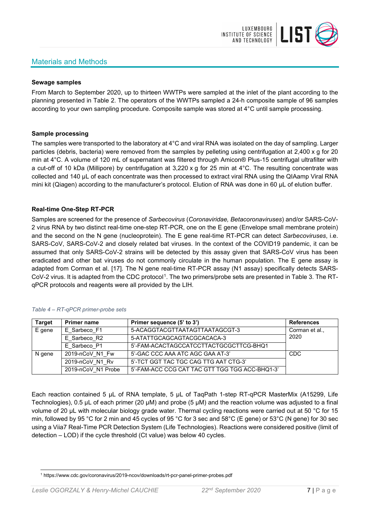# Materials and Methods



#### **Sewage samples**

From March to September 2020, up to thirteen WWTPs were sampled at the inlet of the plant according to the planning presented in Table 2. The operators of the WWTPs sampled a 24-h composite sample of 96 samples according to your own sampling procedure. Composite sample was stored at 4°C until sample processing.

#### **Sample processing**

The samples were transported to the laboratory at 4°C and viral RNA was isolated on the day of sampling. Larger particles (debris, bacteria) were removed from the samples by pelleting using centrifugation at 2,400 x g for 20 min at 4°C. A volume of 120 mL of supernatant was filtered through Amicon® Plus-15 centrifugal ultrafilter with a cut-off of 10 kDa (Millipore) by centrifugation at 3,220 x g for 25 min at 4°C. The resulting concentrate was collected and 140 µL of each concentrate was then processed to extract viral RNA using the QIAamp Viral RNA mini kit (Qiagen) according to the manufacturer's protocol. Elution of RNA was done in 60 μL of elution buffer.

#### **Real-time One-Step RT-PCR**

Samples are screened for the presence of *Sarbecovirus* (*Coronaviridae, Betacoronaviruses*) and/or SARS-CoV-2 virus RNA by two distinct real-time one-step RT-PCR, one on the E gene (Envelope small membrane protein) and the second on the N gene (nucleoprotein). The E gene real-time RT-PCR can detect *Sarbecoviruses*, i.e. SARS-CoV, SARS-CoV-2 and closely related bat viruses. In the context of the COVID19 pandemic, it can be assumed that only SARS-CoV-2 strains will be detected by this assay given that SARS-CoV virus has been eradicated and other bat viruses do not commonly circulate in the human population. The E gene assay is adapted from Corman et al. [17]. The N gene real-time RT-PCR assay (N1 assay) specifically detects SARS-CoV-2 virus. It is adapted from the CDC protocol[1](#page-6-0). The two primers/probe sets are presented in Table 3. The RTqPCR protocols and reagents were all provided by the LIH.

| <b>Target</b> | <b>Primer name</b> | Primer sequence (5' to 3')                     | <b>References</b> |
|---------------|--------------------|------------------------------------------------|-------------------|
| E gene        | E Sarbeco F1       | 5-ACAGGTACGTTAATAGTTAATAGCGT-3                 | Corman et al.,    |
|               | E Sarbeco R2       | 5-ATATTGCAGCAGTACGCACACA-3                     | 2020              |
|               | E Sarbeco P1       | 5'-FAM-ACACTAGCCATCCTTACTGCGCTTCG-BHQ1         |                   |
| N gene        | 2019-nCoV N1 Fw    | 5'-GAC CCC AAA ATC AGC GAA AT-3'               | <b>CDC</b>        |
|               | 2019-nCoV N1 Rv    | 5'-TCT GGT TAC TGC CAG TTG AAT CTG-3'          |                   |
|               | 2019-nCoV N1 Probe | 5'-FAM-ACC CCG CAT TAC GTT TGG TGG ACC-BHQ1-3' |                   |

#### *Table 4 – RT-qPCR primer-probe sets*

Each reaction contained 5 μL of RNA template, 5 μL of TaqPath 1-step RT-qPCR MasterMix (A15299, Life Technologies), 0.5 µL of each primer (20 µM) and probe (5 µM) and the reaction volume was adjusted to a final volume of 20 μL with molecular biology grade water. Thermal cycling reactions were carried out at 50 °C for 15 min, followed by 95 °C for 2 min and 45 cycles of 95 °C for 3 sec and 58°C (E gene) or 53°C (N gene) for 30 sec using a Viia7 Real-Time PCR Detection System (Life Technologies). Reactions were considered positive (limit of detection – LOD) if the cycle threshold (Ct value) was below 40 cycles.

<span id="page-6-0"></span><sup>1</sup> https://www.cdc.gov/coronavirus/2019-ncov/downloads/rt-pcr-panel-primer-probes.pdf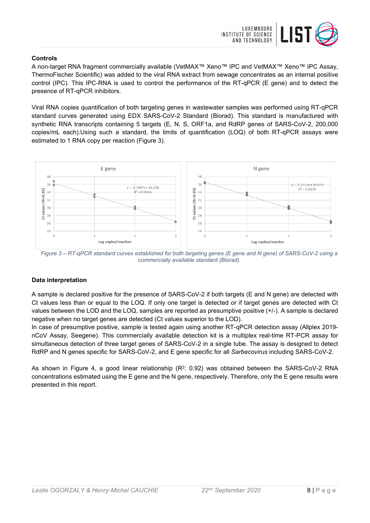

#### **Controls**

A non-target RNA fragment commercially available (VetMAX™ Xeno™ IPC and VetMAX™ Xeno™ IPC Assay, ThermoFischer Scientific) was added to the viral RNA extract from sewage concentrates as an internal positive control (IPC). This IPC-RNA is used to control the performance of the RT-qPCR (E gene) and to detect the presence of RT-qPCR inhibitors.

Viral RNA copies quantification of both targeting genes in wastewater samples was performed using RT-qPCR standard curves generated using EDX SARS-CoV-2 Standard (Biorad). This standard is manufactured with synthetic RNA transcripts containing 5 targets (E, N, S, ORF1a, and RdRP genes of SARS-CoV-2, 200,000 copies/mL each).Using such a standard, the limits of quantification (LOQ) of both RT-qPCR assays were estimated to 1 RNA copy per reaction (Figure 3).



*Figure 3 – RT-qPCR standard curves established for both targeting genes (E gene and N gene) of SARS-CoV-2 using a commercially available standard (Biorad).*

### **Data interpretation**

A sample is declared positive for the presence of SARS-CoV-2 if both targets (E and N gene) are detected with Ct values less than or equal to the LOQ. If only one target is detected or if target genes are detected with Ct values between the LOD and the LOQ, samples are reported as presumptive positive (+/-). A sample is declared negative when no target genes are detected (Ct values superior to the LOD).

In case of presumptive positive, sample is tested again using another RT-qPCR detection assay (Allplex 2019 nCoV Assay, Seegene). This commercially available detection kit is a multiplex real-time RT-PCR assay for simultaneous detection of three target genes of SARS-CoV-2 in a single tube. The assay is designed to detect RdRP and N genes specific for SARS-CoV-2, and E gene specific for all *Sarbecovirus* including SARS-CoV-2.

As shown in Figure 4, a good linear relationship  $(R^2: 0.92)$  was obtained between the SARS-CoV-2 RNA concentrations estimated using the E gene and the N gene, respectively. Therefore, only the E gene results were presented in this report.